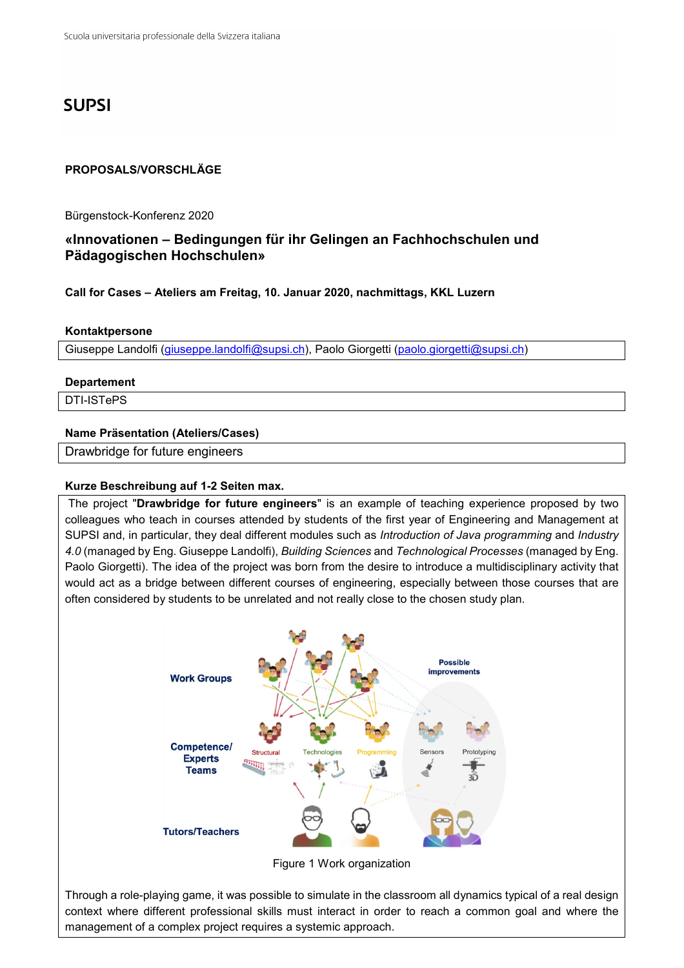# **SUPSI**

### **PROPOSALS/VORSCHLÄGE**

Bürgenstock-Konferenz 2020

# **«Innovationen – Bedingungen für ihr Gelingen an Fachhochschulen und Pädagogischen Hochschulen»**

**Call for Cases – Ateliers am Freitag, 10. Januar 2020, nachmittags, KKL Luzern**

#### **Kontaktpersone**

Giuseppe Landolfi [\(giuseppe.landolfi@supsi.ch\)](mailto:giuseppe.landolfi@supsi.ch), Paolo Giorgetti [\(paolo.giorgetti@supsi.ch\)](mailto:paolo.giorgetti@supsi.ch)

#### **Departement**

DTI-ISTePS

## **Name Präsentation (Ateliers/Cases)**

Drawbridge for future engineers

#### **Kurze Beschreibung auf 1-2 Seiten max.**

The project "**Drawbridge for future engineers**" is an example of teaching experience proposed by two colleagues who teach in courses attended by students of the first year of Engineering and Management at SUPSI and, in particular, they deal different modules such as *Introduction of Java programming* and *Industry 4.0* (managed by Eng. Giuseppe Landolfi), *Building Sciences* and *Technological Processes* (managed by Eng. Paolo Giorgetti). The idea of the project was born from the desire to introduce a multidisciplinary activity that would act as a bridge between different courses of engineering, especially between those courses that are often considered by students to be unrelated and not really close to the chosen study plan.



Figure 1 Work organization

Through a role-playing game, it was possible to simulate in the classroom all dynamics typical of a real design context where different professional skills must interact in order to reach a common goal and where the management of a complex project requires a systemic approach.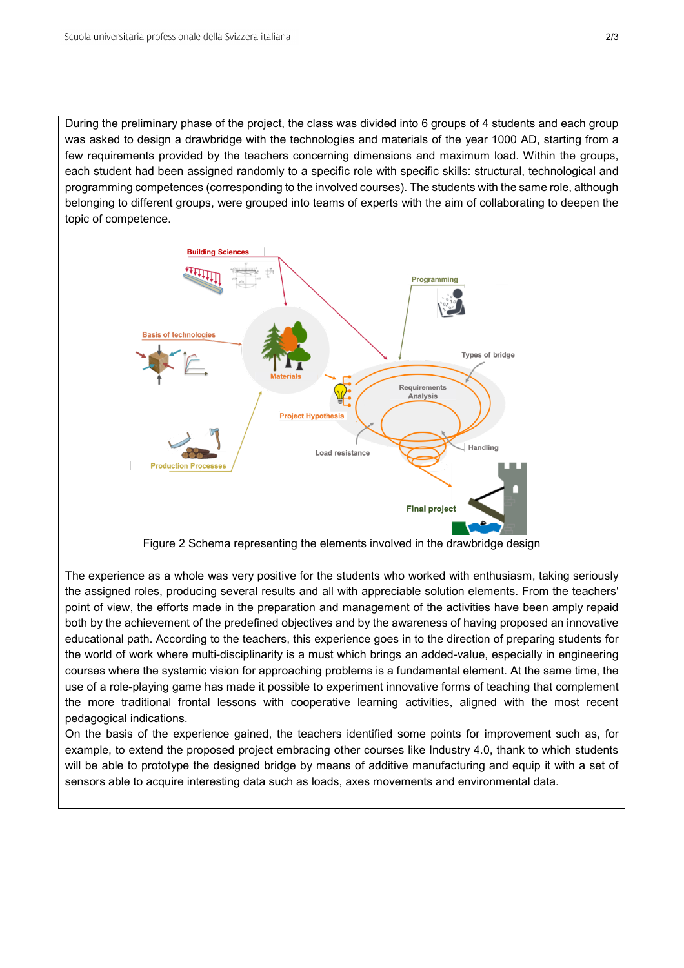During the preliminary phase of the project, the class was divided into 6 groups of 4 students and each group was asked to design a drawbridge with the technologies and materials of the year 1000 AD, starting from a few requirements provided by the teachers concerning dimensions and maximum load. Within the groups, each student had been assigned randomly to a specific role with specific skills: structural, technological and programming competences (corresponding to the involved courses). The students with the same role, although belonging to different groups, were grouped into teams of experts with the aim of collaborating to deepen the topic of competence.



Figure 2 Schema representing the elements involved in the drawbridge design

The experience as a whole was very positive for the students who worked with enthusiasm, taking seriously the assigned roles, producing several results and all with appreciable solution elements. From the teachers' point of view, the efforts made in the preparation and management of the activities have been amply repaid both by the achievement of the predefined objectives and by the awareness of having proposed an innovative educational path. According to the teachers, this experience goes in to the direction of preparing students for the world of work where multi-disciplinarity is a must which brings an added-value, especially in engineering courses where the systemic vision for approaching problems is a fundamental element. At the same time, the use of a role-playing game has made it possible to experiment innovative forms of teaching that complement the more traditional frontal lessons with cooperative learning activities, aligned with the most recent pedagogical indications.

On the basis of the experience gained, the teachers identified some points for improvement such as, for example, to extend the proposed project embracing other courses like Industry 4.0, thank to which students will be able to prototype the designed bridge by means of additive manufacturing and equip it with a set of sensors able to acquire interesting data such as loads, axes movements and environmental data.